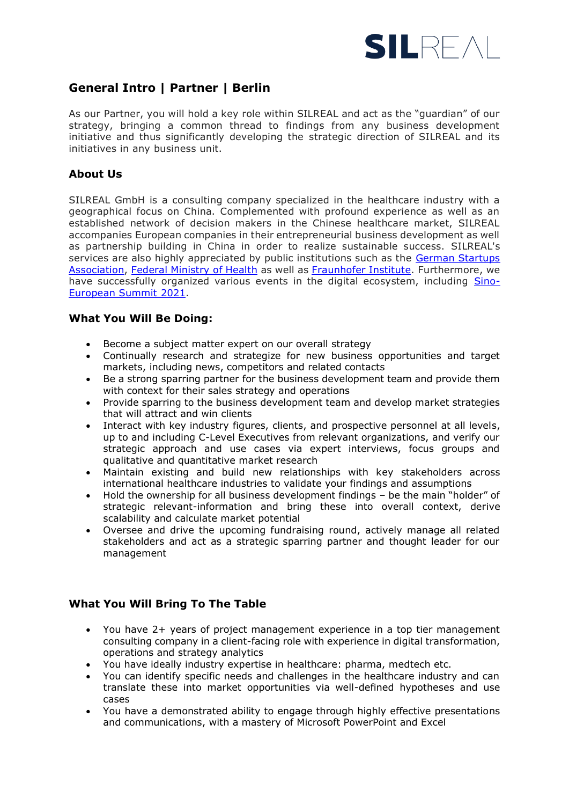

# **General Intro | Partner | Berlin**

As our Partner, you will hold a key role within SILREAL and act as the "guardian" of our strategy, bringing a common thread to findings from any business development initiative and thus significantly developing the strategic direction of SILREAL and its initiatives in any business unit.

# **About Us**

SILREAL GmbH is a consulting company specialized in the healthcare industry with a geographical focus on China. Complemented with profound experience as well as an established network of decision makers in the Chinese healthcare market, SILREAL accompanies European companies in their entrepreneurial business development as well as partnership building in China in order to realize sustainable success. SILREAL's services are also highly appreciated by public institutions such as the [German Startups](https://d8d52945-326b-4657-bcca-d10415040b76.filesusr.com/ugd/570e8d_1ee25435e0fb4fad8fa3960d2ba0d121.pdf)  [Association,](https://d8d52945-326b-4657-bcca-d10415040b76.filesusr.com/ugd/570e8d_1ee25435e0fb4fad8fa3960d2ba0d121.pdf) [Federal Ministry of Health](https://d8d52945-326b-4657-bcca-d10415040b76.filesusr.com/ugd/570e8d_3675931c7de54b8e85c47444f070c62d.pdf) as well as [Fraunhofer Institute.](https://d8d52945-326b-4657-bcca-d10415040b76.filesusr.com/ugd/570e8d_9b3a81acd438405d8ff36397e1f9824d.pdf) Furthermore, we have successfully organized various events in the digital ecosystem, including [Sino-](https://www.silreal.com/sino-european-health-summit-2021)[European Summit 2021.](https://www.silreal.com/sino-european-health-summit-2021)

## **What You Will Be Doing:**

- Become a subject matter expert on our overall strategy
- Continually research and strategize for new business opportunities and target markets, including news, competitors and related contacts
- Be a strong sparring partner for the business development team and provide them with context for their sales strategy and operations
- Provide sparring to the business development team and develop market strategies that will attract and win clients
- Interact with key industry figures, clients, and prospective personnel at all levels, up to and including C-Level Executives from relevant organizations, and verify our strategic approach and use cases via expert interviews, focus groups and qualitative and quantitative market research
- Maintain existing and build new relationships with key stakeholders across international healthcare industries to validate your findings and assumptions
- Hold the ownership for all business development findings be the main "holder" of strategic relevant-information and bring these into overall context, derive scalability and calculate market potential
- Oversee and drive the upcoming fundraising round, actively manage all related stakeholders and act as a strategic sparring partner and thought leader for our management

#### **What You Will Bring To The Table**

- You have 2+ years of project management experience in a top tier management consulting company in a client-facing role with experience in digital transformation, operations and strategy analytics
- You have ideally industry expertise in healthcare: pharma, medtech etc.
- You can identify specific needs and challenges in the healthcare industry and can translate these into market opportunities via well-defined hypotheses and use cases
- You have a demonstrated ability to engage through highly effective presentations and communications, with a mastery of Microsoft PowerPoint and Excel